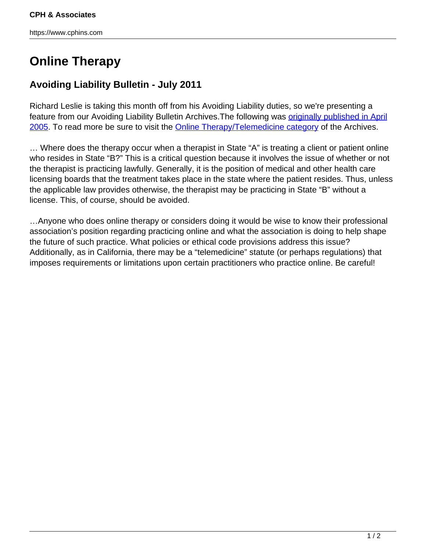https://www.cphins.com

## **Online Therapy**

## **Avoiding Liability Bulletin - July 2011**

Richard Leslie is taking this month off from his Avoiding Liability duties, so we're presenting a feature from our Avoiding Liability Bulletin Archives. The following was **[originally published in April](http://www.cphins.com/online-therapy-2/)** [2005](http://www.cphins.com/online-therapy-2/). To read more be sure to visit the [Online Therapy/Telemedicine category](http://www.cphins.com/category/mental-health/online-therapytelemedicine/) of the Archives.

… Where does the therapy occur when a therapist in State "A" is treating a client or patient online who resides in State "B?" This is a critical question because it involves the issue of whether or not the therapist is practicing lawfully. Generally, it is the position of medical and other health care licensing boards that the treatment takes place in the state where the patient resides. Thus, unless the applicable law provides otherwise, the therapist may be practicing in State "B" without a license. This, of course, should be avoided.

…Anyone who does online therapy or considers doing it would be wise to know their professional association's position regarding practicing online and what the association is doing to help shape the future of such practice. What policies or ethical code provisions address this issue? Additionally, as in California, there may be a "telemedicine" statute (or perhaps regulations) that imposes requirements or limitations upon certain practitioners who practice online. Be careful!